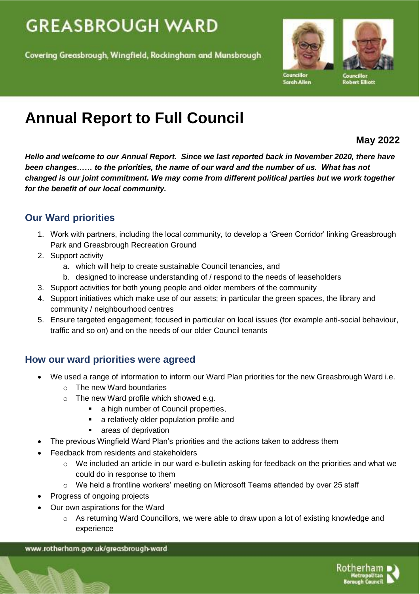# **GREASBROUGH WARD**

Covering Greasbrough, Wingfield, Rockingham and Munsbrough



Sarah Allen

**Councillor**<br>Robert Elliott

# **Annual Report to Full Council**

## **May 2022**

*Hello and welcome to our Annual Report. Since we last reported back in November 2020, there have been changes…… to the priorities, the name of our ward and the number of us. What has not changed is our joint commitment. We may come from different political parties but we work together for the benefit of our local community.*

# **Our Ward priorities**

- 1. Work with partners, including the local community, to develop a 'Green Corridor' linking Greasbrough Park and Greasbrough Recreation Ground
- 2. Support activity
	- a. which will help to create sustainable Council tenancies, and
	- b. designed to increase understanding of / respond to the needs of leaseholders
- 3. Support activities for both young people and older members of the community
- 4. Support initiatives which make use of our assets; in particular the green spaces, the library and community / neighbourhood centres
- 5. Ensure targeted engagement; focused in particular on local issues (for example anti-social behaviour, traffic and so on) and on the needs of our older Council tenants

# **How our ward priorities were agreed**

- We used a range of information to inform our Ward Plan priorities for the new Greasbrough Ward i.e.
	- o The new Ward boundaries
	- o The new Ward profile which showed e.g.
		- a high number of Council properties,
		- a relatively older population profile and
		- areas of deprivation
- The previous Wingfield Ward Plan's priorities and the actions taken to address them
- Feedback from residents and stakeholders
	- $\circ$  We included an article in our ward e-bulletin asking for feedback on the priorities and what we could do in response to them
	- $\circ$  We held a frontline workers' meeting on Microsoft Teams attended by over 25 staff
- Progress of ongoing projects
- Our own aspirations for the Ward
	- $\circ$  As returning Ward Councillors, we were able to draw upon a lot of existing knowledge and experience

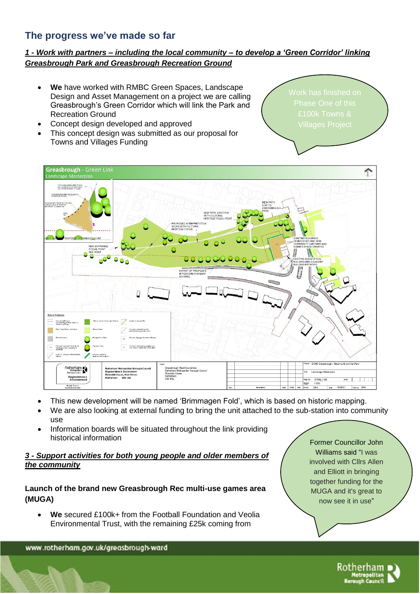### **The progress we've made so far**

#### *1 - Work with partners – including the local community – to develop a 'Green Corridor' linking Greasbrough Park and Greasbrough Recreation Ground*

- **We** have worked with RMBC Green Spaces, Landscape Design and Asset Management on a project we are calling Greasbrough's Green Corridor which will link the Park and Recreation Ground
- Concept design developed and approved
- This concept design was submitted as our proposal for Towns and Villages Funding

£100k Towns &



- This new development will be named 'Brimmagen Fold', which is based on historic mapping.
- We are also looking at external funding to bring the unit attached to the sub-station into community use
- Information boards will be situated throughout the link providing historical information

#### *3 - Support activities for both young people and older members of the community*

#### **Launch of the brand new Greasbrough Rec multi-use games area (MUGA)**

 **We** secured £100k+ from the Football Foundation and Veolia Environmental Trust, with the remaining £25k coming from

Former Councillor John Williams said "I was involved with Cllrs Allen and Elliott in bringing together funding for the MUGA and it's great to now see it in use"



Rotherham letropol<br>Jugh Co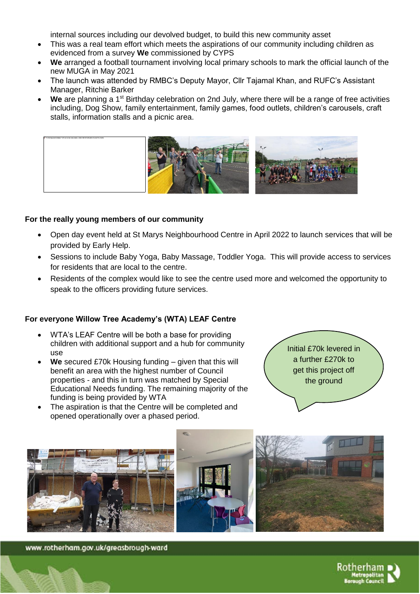internal sources including our devolved budget, to build this new community asset

- This was a real team effort which meets the aspirations of our community including children as evidenced from a survey **We** commissioned by CYPS
- **We** arranged a football tournament involving local primary schools to mark the official launch of the new MUGA in May 2021
- The launch was attended by RMBC's Deputy Mayor, Cllr Tajamal Khan, and RUFC's Assistant Manager, Ritchie Barker
- We are planning a 1<sup>st</sup> Birthday celebration on 2nd July, where there will be a range of free activities including, Dog Show, family entertainment, family games, food outlets, children's carousels, craft stalls, information stalls and a picnic area.



#### **For the really young members of our community**

- Open day event held at St Marys Neighbourhood Centre in April 2022 to launch services that will be provided by Early Help.
- Sessions to include Baby Yoga, Baby Massage, Toddler Yoga. This will provide access to services for residents that are local to the centre.
- Residents of the complex would like to see the centre used more and welcomed the opportunity to speak to the officers providing future services.

#### **For everyone Willow Tree Academy's (WTA) LEAF Centre**

- WTA's LEAF Centre will be both a base for providing children with additional support and a hub for community use
- **We** secured £70k Housing funding given that this will benefit an area with the highest number of Council properties - and this in turn was matched by Special Educational Needs funding. The remaining majority of the funding is being provided by WTA
- The aspiration is that the Centre will be completed and opened operationally over a phased period.





www.rotherham.gov.uk/greasbrough-ward

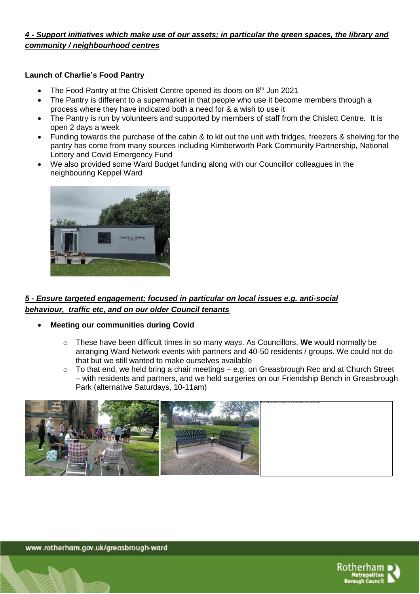#### *4 - Support initiatives which make use of our assets; in particular the green spaces, the library and community / neighbourhood centres*

#### **Launch of Charlie's Food Pantry**

- The Food Pantry at the Chislett Centre opened its doors on 8<sup>th</sup> Jun 2021
- The Pantry is different to a supermarket in that people who use it become members through a process where they have indicated both a need for & a wish to use it
- The Pantry is run by volunteers and supported by members of staff from the Chislett Centre. It is open 2 days a week
- Funding towards the purchase of the cabin & to kit out the unit with fridges, freezers & shelving for the pantry has come from many sources including Kimberworth Park Community Partnership, National Lottery and Covid Emergency Fund
- We also provided some Ward Budget funding along with our Councillor colleagues in the neighbouring Keppel Ward



#### *5 - Ensure targeted engagement; focused in particular on local issues e.g. anti-social behaviour, traffic etc, and on our older Council tenants*

- **Meeting our communities during Covid**
	- o These have been difficult times in so many ways. As Councillors, **We** would normally be arranging Ward Network events with partners and 40-50 residents / groups. We could not do that but we still wanted to make ourselves available
	- o To that end, we held bring a chair meetings e.g. on Greasbrough Rec and at Church Street – with residents and partners, and we held surgeries on our Friendship Bench in Greasbrough Park (alternative Saturdays, 10-11am)



www.rotherham.gov.uk/greasbrough-ward